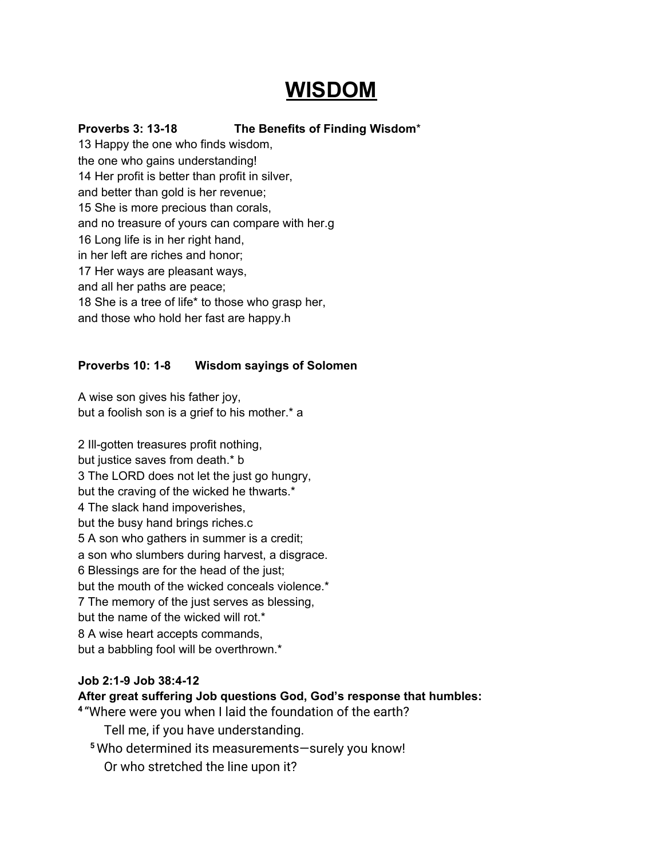# **WISDOM**

### **Proverbs 3: 13-18 The Benefits of Finding Wisdom**\*

13 Happy the one who finds wisdom, the one who gains understanding! 14 Her profit is better than profit in silver, and better than gold is her revenue; 15 She is more precious than corals, and no treasure of yours can compare with her.g 16 Long life is in her right hand, in her left are riches and honor; 17 Her ways are pleasant ways, and all her paths are peace; 18 She is a tree of life\* to those who grasp her, and those who hold her fast are happy.h

#### **Proverbs 10: 1-8 Wisdom sayings of Solomen**

A wise son gives his father joy, but a foolish son is a grief to his mother.\* a

2 Ill-gotten treasures profit nothing, but justice saves from death.\* b 3 The LORD does not let the just go hungry, but the craving of the wicked he thwarts.\* 4 The slack hand impoverishes, but the busy hand brings riches.c 5 A son who gathers in summer is a credit; a son who slumbers during harvest, a disgrace. 6 Blessings are for the head of the just; but the mouth of the wicked conceals violence.\* 7 The memory of the just serves as blessing, but the name of the wicked will rot.\* 8 A wise heart accepts commands, but a babbling fool will be overthrown.\*

#### **Job 2:1-9 Job 38:4-12**

## **After great suffering Job questions God, God's response that humbles:**

**4** "Where were you when I laid the foundation of the earth?

Tell me, if you have understanding.

- **<sup>5</sup>** Who determined its measurements—surely you know!
	- Or who stretched the line upon it?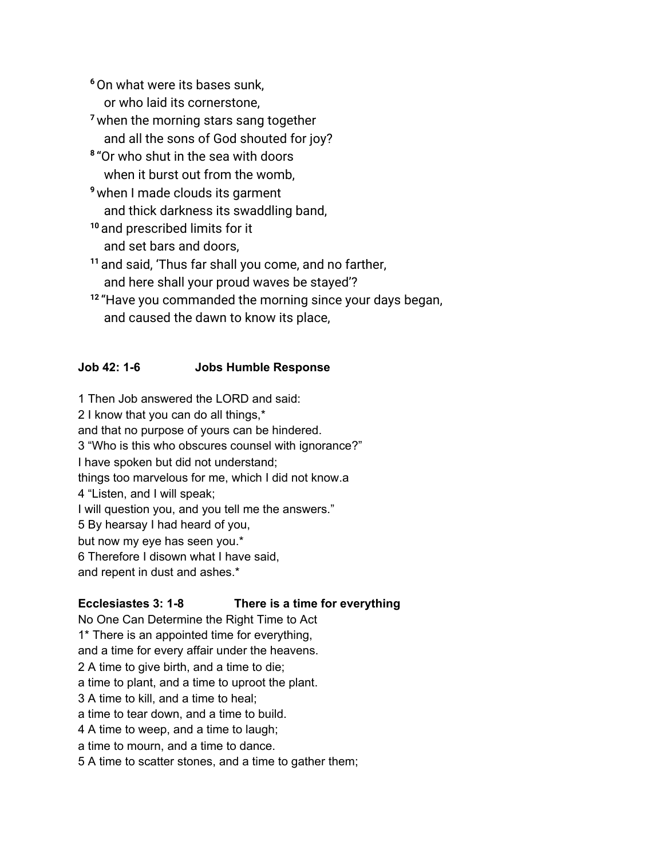**<sup>6</sup>**On what were its bases sunk,

or who laid its cornerstone,

- **<sup>7</sup>**when the morning stars sang together and all the sons of God shouted for joy?
- **8** "Or who shut in the sea with doors when it burst out from the womb.
- **<sup>9</sup>**when I made clouds its garment and thick darkness its swaddling band,
- **<sup>10</sup>** and prescribed limits for it and set bars and doors,
- **<sup>11</sup>** and said, 'Thus far shall you come, and no farther, and here shall your proud waves be stayed'?
- **12** "Have you commanded the morning since your days began, and caused the dawn to know its place,

## **Job 42: 1-6 Jobs Humble Response**

1 Then Job answered the LORD and said:

2 I know that you can do all things,\*

and that no purpose of yours can be hindered.

3 "Who is this who obscures counsel with ignorance?"

I have spoken but did not understand;

things too marvelous for me, which I did not know.a

4 "Listen, and I will speak;

I will question you, and you tell me the answers."

5 By hearsay I had heard of you,

but now my eye has seen you.\*

6 Therefore I disown what I have said,

and repent in dust and ashes.\*

# **Ecclesiastes 3: 1-8 There is a time for everything**

No One Can Determine the Right Time to Act 1\* There is an appointed time for everything, and a time for every affair under the heavens. 2 A time to give birth, and a time to die; a time to plant, and a time to uproot the plant. 3 A time to kill, and a time to heal; a time to tear down, and a time to build. 4 A time to weep, and a time to laugh; a time to mourn, and a time to dance. 5 A time to scatter stones, and a time to gather them;